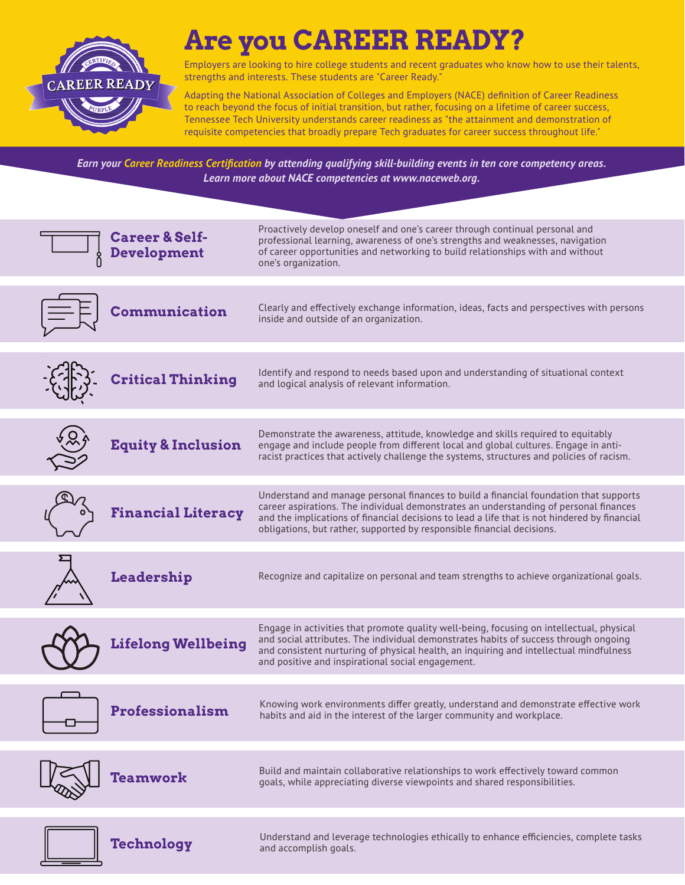

# **Are you CAREER READY?**

Employers are looking to hire college students and recent graduates who know how to use their talents, strengths and interests. These students are "Career Ready."

Adapting the National Association of Colleges and Employers (NACE) definition of Career Readiness to reach beyond the focus of initial transition, but rather, focusing on a lifetime of career success, Tennessee Tech University understands career readiness as "the attainment and demonstration of requisite competencies that broadly prepare Tech graduates for career success throughout life."

*Earn your Career Readiness Certification by attending qualifying skill-building events in ten core competency areas. Learn more about NACE competencies at www.naceweb.org.*

| <b>Career &amp; Self-</b><br>Development | Proactively develop oneself and one's career through continual personal and<br>professional learning, awareness of one's strengths and weaknesses, navigation<br>of career opportunities and networking to build relationships with and without<br>one's organization.                                                                                   |
|------------------------------------------|----------------------------------------------------------------------------------------------------------------------------------------------------------------------------------------------------------------------------------------------------------------------------------------------------------------------------------------------------------|
| <b>Communication</b>                     | Clearly and effectively exchange information, ideas, facts and perspectives with persons<br>inside and outside of an organization.                                                                                                                                                                                                                       |
| <b>Critical Thinking</b>                 | Identify and respond to needs based upon and understanding of situational context<br>and logical analysis of relevant information.                                                                                                                                                                                                                       |
| <b>Equity &amp; Inclusion</b>            | Demonstrate the awareness, attitude, knowledge and skills required to equitably<br>engage and include people from different local and global cultures. Engage in anti-<br>racist practices that actively challenge the systems, structures and policies of racism.                                                                                       |
| <b>Financial Literacy</b>                | Understand and manage personal finances to build a financial foundation that supports<br>career aspirations. The individual demonstrates an understanding of personal finances<br>and the implications of financial decisions to lead a life that is not hindered by financial<br>obligations, but rather, supported by responsible financial decisions. |
| Leadership                               | Recognize and capitalize on personal and team strengths to achieve organizational goals.                                                                                                                                                                                                                                                                 |
| <b>Lifelong Wellbeing</b>                | Engage in activities that promote quality well-being, focusing on intellectual, physical<br>and social attributes. The individual demonstrates habits of success through ongoing<br>and consistent nurturing of physical health, an inquiring and intellectual mindfulness<br>and positive and inspirational social engagement.                          |
| <b>Professionalism</b>                   | Knowing work environments differ greatly, understand and demonstrate effective work<br>habits and aid in the interest of the larger community and workplace.                                                                                                                                                                                             |
| Teamwork                                 | Build and maintain collaborative relationships to work effectively toward common<br>goals, while appreciating diverse viewpoints and shared responsibilities.                                                                                                                                                                                            |
| Technology                               | Understand and leverage technologies ethically to enhance efficiencies, complete tasks<br>and accomplish goals.                                                                                                                                                                                                                                          |